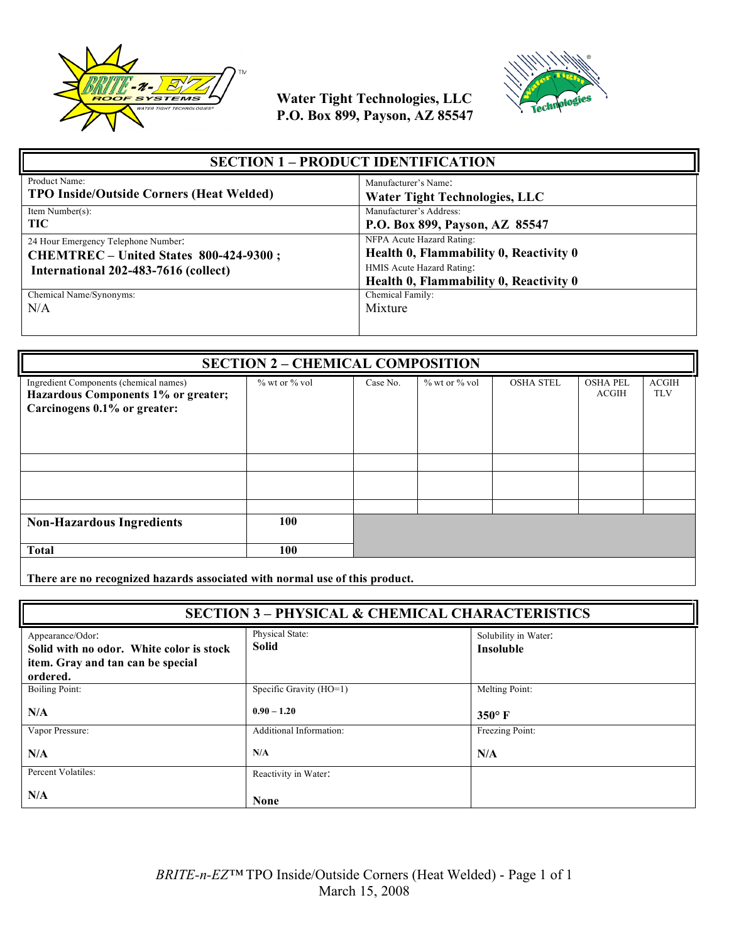



| <b>SECTION 1 – PRODUCT IDENTIFICATION</b>                                                                             |                                                                                                                                            |  |
|-----------------------------------------------------------------------------------------------------------------------|--------------------------------------------------------------------------------------------------------------------------------------------|--|
| Product Name:                                                                                                         | Manufacturer's Name:                                                                                                                       |  |
| <b>TPO Inside/Outside Corners (Heat Welded)</b>                                                                       | <b>Water Tight Technologies, LLC</b>                                                                                                       |  |
| Item Number(s):                                                                                                       | Manufacturer's Address:                                                                                                                    |  |
| <b>TIC</b>                                                                                                            | P.O. Box 899, Payson, AZ 85547                                                                                                             |  |
| 24 Hour Emergency Telephone Number:<br>CHEMTREC - United States 800-424-9300;<br>International 202-483-7616 (collect) | NFPA Acute Hazard Rating:<br>Health 0, Flammability 0, Reactivity 0<br>HMIS Acute Hazard Rating:<br>Health 0, Flammability 0, Reactivity 0 |  |
| Chemical Name/Synonyms:                                                                                               | Chemical Family:                                                                                                                           |  |
| N/A                                                                                                                   | Mixture                                                                                                                                    |  |

| <b>SECTION 2 - CHEMICAL COMPOSITION</b>                                                                       |                     |          |                     |                  |                          |                            |
|---------------------------------------------------------------------------------------------------------------|---------------------|----------|---------------------|------------------|--------------------------|----------------------------|
| Ingredient Components (chemical names)<br>Hazardous Components 1% or greater;<br>Carcinogens 0.1% or greater: | $\%$ wt or $\%$ vol | Case No. | $\%$ wt or $\%$ vol | <b>OSHA STEL</b> | <b>OSHA PEL</b><br>ACGIH | <b>ACGIH</b><br><b>TLV</b> |
|                                                                                                               |                     |          |                     |                  |                          |                            |
|                                                                                                               |                     |          |                     |                  |                          |                            |
|                                                                                                               |                     |          |                     |                  |                          |                            |
| <b>Non-Hazardous Ingredients</b>                                                                              | 100                 |          |                     |                  |                          |                            |
| <b>Total</b>                                                                                                  | 100                 |          |                     |                  |                          |                            |
|                                                                                                               |                     |          |                     |                  |                          |                            |

**There are no recognized hazards associated with normal use of this product.**

| <b>SECTION 3 - PHYSICAL &amp; CHEMICAL CHARACTERISTICS</b>                                                    |                                 |                                          |
|---------------------------------------------------------------------------------------------------------------|---------------------------------|------------------------------------------|
| Appearance/Odor:<br>Solid with no odor. White color is stock<br>item. Gray and tan can be special<br>ordered. | Physical State:<br><b>Solid</b> | Solubility in Water:<br><b>Insoluble</b> |
| Boiling Point:                                                                                                | Specific Gravity (HO=1)         | Melting Point:                           |
| N/A                                                                                                           | $0.90 - 1.20$                   | $350^\circ$ F                            |
| Vapor Pressure:                                                                                               | <b>Additional Information:</b>  | Freezing Point:                          |
| N/A                                                                                                           | N/A                             | N/A                                      |
| Percent Volatiles:                                                                                            | Reactivity in Water:            |                                          |
| N/A                                                                                                           | <b>None</b>                     |                                          |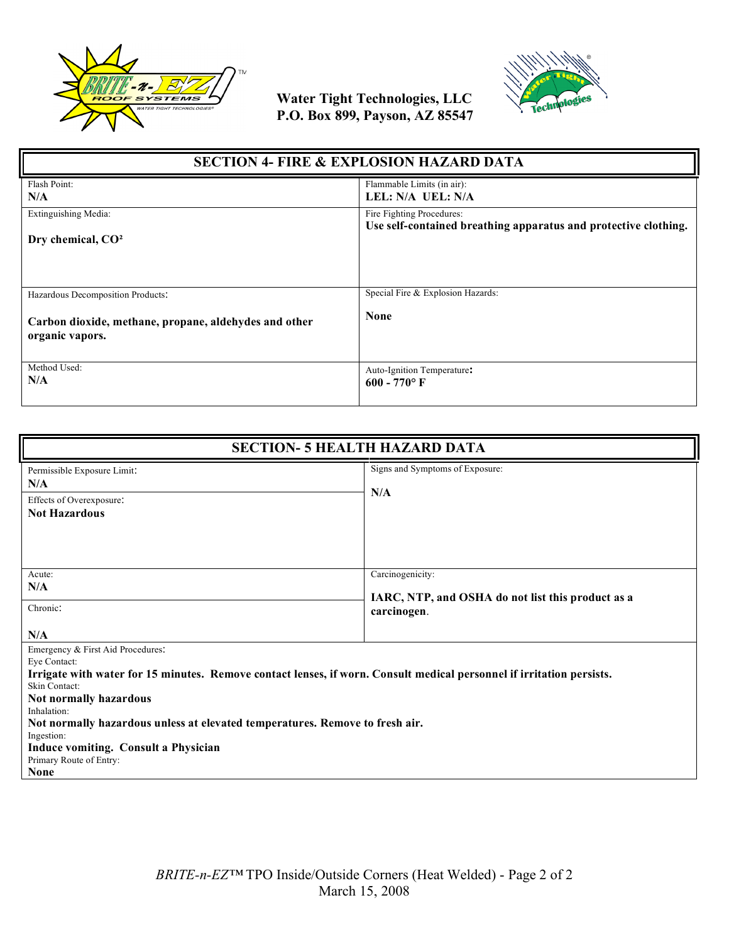



| <b>SECTION 4- FIRE &amp; EXPLOSION HAZARD DATA</b>                                                            |                                                                 |  |
|---------------------------------------------------------------------------------------------------------------|-----------------------------------------------------------------|--|
| Flash Point:                                                                                                  | Flammable Limits (in air):                                      |  |
| N/A                                                                                                           | LEL: N/A UEL: N/A                                               |  |
| Extinguishing Media:                                                                                          | Fire Fighting Procedures:                                       |  |
| Dry chemical, CO <sup>2</sup>                                                                                 | Use self-contained breathing apparatus and protective clothing. |  |
| Hazardous Decomposition Products:<br>Carbon dioxide, methane, propane, aldehydes and other<br>organic vapors. | Special Fire & Explosion Hazards:<br><b>None</b>                |  |
| Method Used:                                                                                                  | Auto-Ignition Temperature:                                      |  |
| N/A                                                                                                           | $600 - 770$ °F                                                  |  |

| <b>SECTION- 5 HEALTH HAZARD DATA</b>                                                                                                                                                                                                                                                                                                                                                                                        |                                                                                      |  |
|-----------------------------------------------------------------------------------------------------------------------------------------------------------------------------------------------------------------------------------------------------------------------------------------------------------------------------------------------------------------------------------------------------------------------------|--------------------------------------------------------------------------------------|--|
| Permissible Exposure Limit:<br>N/A<br>Effects of Overexposure:<br><b>Not Hazardous</b>                                                                                                                                                                                                                                                                                                                                      | Signs and Symptoms of Exposure:<br>N/A                                               |  |
| Acute:<br>N/A<br>Chronic:<br>N/A                                                                                                                                                                                                                                                                                                                                                                                            | Carcinogenicity:<br>IARC, NTP, and OSHA do not list this product as a<br>carcinogen. |  |
| Emergency & First Aid Procedures:<br>Eye Contact:<br>Irrigate with water for 15 minutes. Remove contact lenses, if worn. Consult medical personnel if irritation persists.<br>Skin Contact:<br>Not normally hazardous<br>Inhalation:<br>Not normally hazardous unless at elevated temperatures. Remove to fresh air.<br>Ingestion:<br><b>Induce vomiting. Consult a Physician</b><br>Primary Route of Entry:<br><b>None</b> |                                                                                      |  |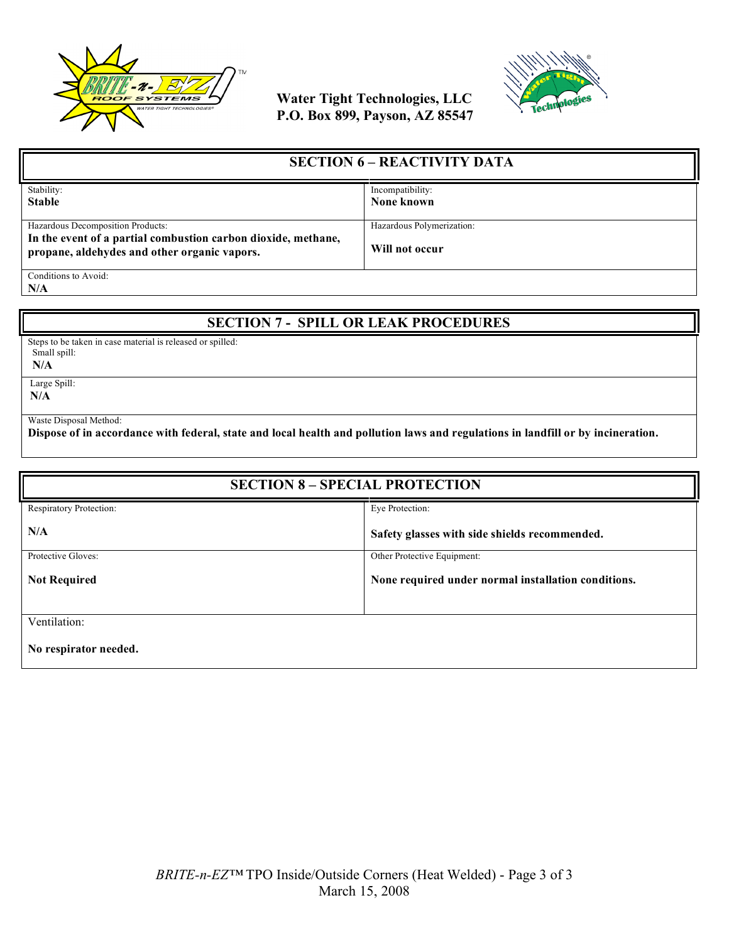



| <b>SECTION 6 – REACTIVITY DATA</b>                            |                           |
|---------------------------------------------------------------|---------------------------|
| Stability:                                                    | Incompatibility:          |
| <b>Stable</b>                                                 | None known                |
|                                                               |                           |
| Hazardous Decomposition Products:                             | Hazardous Polymerization: |
| In the event of a partial combustion carbon dioxide, methane, |                           |
| propane, aldehydes and other organic vapors.                  | Will not occur            |
| Conditions to Avoid:                                          |                           |
|                                                               |                           |

**N/A**

## **SECTION 7 - SPILL OR LEAK PROCEDURES**

Steps to be taken in case material is released or spilled: Small spill:

 **N/A**

Large Spill:

**N/A**

Waste Disposal Method:

**Dispose of in accordance with federal, state and local health and pollution laws and regulations in landfill or by incineration.**

| <b>SECTION 8 - SPECIAL PROTECTION</b> |                                                     |  |
|---------------------------------------|-----------------------------------------------------|--|
| Respiratory Protection:               | Eye Protection:                                     |  |
| N/A                                   | Safety glasses with side shields recommended.       |  |
| Protective Gloves:                    | Other Protective Equipment:                         |  |
| <b>Not Required</b>                   | None required under normal installation conditions. |  |
|                                       |                                                     |  |
| Ventilation:                          |                                                     |  |
| No respirator needed.                 |                                                     |  |